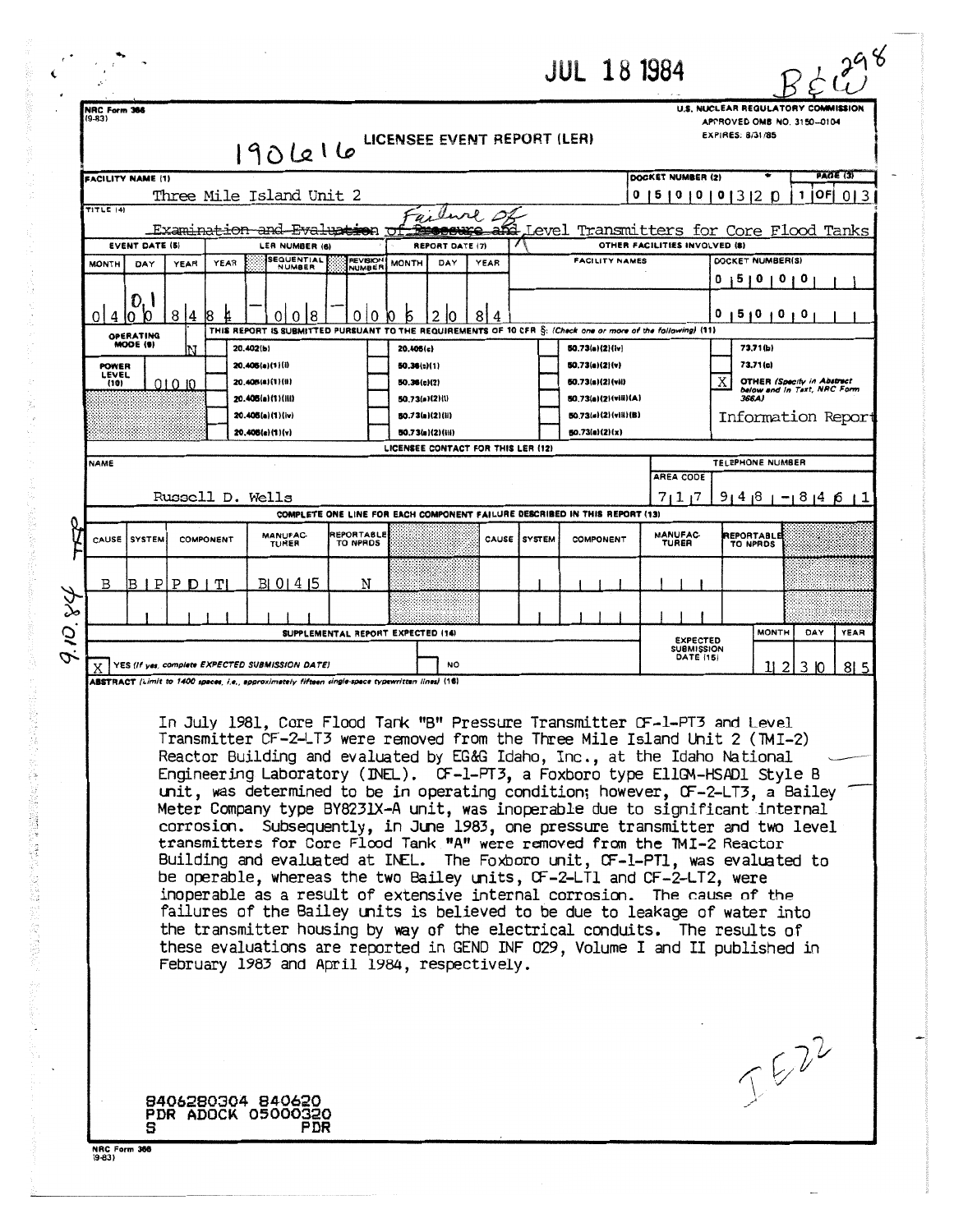| U.S. NUCLEAR REGULATORY COMMISSION<br>NRC Form 366<br>(9-83)<br>APPROVED OMB NO. 3150-0104<br><b>EXPIRES: 8/31/85</b><br>LICENSEE EVENT REPORT (LER)<br>190616<br>PAGE (3)<br>DOCKET NUMBER (2)<br><b>FACILITY NAME (1)</b><br>Three Mile Island Unit 2<br> OF <br> 5 0 0 0 3 2 0<br>1<br>0<br>$TITLE$ $(4)$<br>Examination and Eva<br>eren<br>ŢЛ<br><b>EVENT DATE (5)</b><br>OTHER FACILITIES INVOLVED (8)<br>LER NUMBER (6)<br><b>REPORT DATE (7)</b><br><b>SEQUENTIAL</b><br>REVISION<br><b>FACILITY NAMES</b><br>DOCKET NUMBER(S)<br>DAY<br>YEAR<br><b>MONTH</b><br><b>MONTH</b><br>DAY<br><b>YEAR</b><br>YEAR<br>NUMBER<br><b>NUMBER</b><br>15101010<br>D. I<br>84<br>0<br>18<br>8 4<br>015101010<br>18<br>0<br>010<br>Б<br>4<br>0<br>2<br>10<br>THIS REPORT IS SUBMITTED PURSUANT TO THE REQUIREMENTS OF 10 CFR S: (Check one or more of the following) (11)<br>OPERATING<br>MODE (9)<br>20,402(b)<br>50.73(a)(2)(lv)<br>73,71(b)<br>20.405(c)<br>73.71(c)<br>20.405(a)(1)(i)<br>50.73(a)(2)(v)<br><b>POWER</b><br>50.36(c)(1)<br>LEVEL<br>Χ<br><b>OTHER (Specify in Abstract</b><br>20.406(a)(1)(ii)<br>50.73(s)(2)(vii)<br>50.36(c)(2)<br>(10)<br>01010<br>below and in Text, NRC Form<br>366A)<br>20.406(a)(1)(iii)<br>50.73(a)(2)(l)<br>80.73(a)(2)(vili)(A)<br>20.406(a)(1)(iv)<br>50.73(a)(2)(ii)<br>50,73(s)(2)(vill)(B)<br>Information Report<br>20.406(e)(1)(v)<br>50.73(a)(2)(x)<br>80.73(g)(2)(iii)<br>LICENSEE CONTACT FOR THIS LER (12)<br>TELEPHONE NUMBER<br><b>NAME</b><br><b>AREA CODE</b><br>Russell D. Wells<br>7117<br>9   4   8   -   8   4   6   1<br>COMPLETE ONE LINE FOR EACH COMPONENT FAILURE DESCRIBED IN THIS REPORT (13)<br><b>MANUFAC-</b><br>REPORTABLE<br><b>MANUFAC-</b><br>REPORTABLE<br><b>CAUSE</b><br>Í SYSTEM<br><b>COMPONENT</b><br>CAUSE<br><b>SYSTEM</b><br>COMPONENT<br>TO NPRDS<br><b>TURER</b><br><b>TURER</b><br><b>TO NPRDS</b><br>N<br>В<br>IP<br>T<br>B 0 1 4 15<br>PDI<br>В<br>9.10.84<br>SUPPLEMENTAL REPORT EXPECTED (14)<br><b>MONTH</b><br>DAY<br><b>EXPECTED</b><br><b>SUBMISSION</b><br>DATE (15)<br><b>YES (If yes, complete EXPECTED SUBMISSION DATE)</b><br>NO<br>2<br>3 IO<br>815<br>11.<br>ABSTRACT (Limit to 1400 spaces, i.e., approximately fifteen single-space typewritten lines) (16)<br>In July 1981, Core Flood Tank "B" Pressure Transmitter CF-1-PT3 and Level<br>Transmitter CF-2-LT3 were removed from the Three Mile Island Unit 2 (TMI-2)<br>Reactor Building and evaluated by EG&G Idaho, Inc., at the Idaho National<br>Engineering Laboratory (INEL). CF-1-PT3, a Foxboro type EllGM-HSADl Style B<br>unit, was determined to be in operating condition; however, $CF-2-LT3$ , a Bailey<br>Meter Company type BY8231X-A unit, was inoperable due to significant internal<br>corrosion. Subsequently, in June 1983, one pressure transmitter and two level<br>transmitters for Core Flood Tank "A" were removed from the TMI-2 Reactor<br>Building and evaluated at INEL. The Foxboro unit, CF-1-PT1, was evaluated to<br>be operable, whereas the two Bailey units, CF-2-LT1 and CF-2-LT2, were<br>inoperable as a result of extensive internal corrosion. The cause of the<br>failures of the Bailey units is believed to be due to leakage of water into<br>the transmitter housing by way of the electrical conduits. The results of<br>these evaluations are reported in GEND INF 029, Volume I and II published in<br>February 1983 and April 1984, respectively.<br>JEZZ<br>8406280304 840620<br><b>PDR ADOCK 05000320</b> |  |                                         |  |  |  |  |  |  | <b>JUL 18 1984</b> |  |  | $\boldsymbol{\mathcal{C}}$ |  |
|----------------------------------------------------------------------------------------------------------------------------------------------------------------------------------------------------------------------------------------------------------------------------------------------------------------------------------------------------------------------------------------------------------------------------------------------------------------------------------------------------------------------------------------------------------------------------------------------------------------------------------------------------------------------------------------------------------------------------------------------------------------------------------------------------------------------------------------------------------------------------------------------------------------------------------------------------------------------------------------------------------------------------------------------------------------------------------------------------------------------------------------------------------------------------------------------------------------------------------------------------------------------------------------------------------------------------------------------------------------------------------------------------------------------------------------------------------------------------------------------------------------------------------------------------------------------------------------------------------------------------------------------------------------------------------------------------------------------------------------------------------------------------------------------------------------------------------------------------------------------------------------------------------------------------------------------------------------------------------------------------------------------------------------------------------------------------------------------------------------------------------------------------------------------------------------------------------------------------------------------------------------------------------------------------------------------------------------------------------------------------------------------------------------------------------------------------------------------------------------------------------------------------------------------------------------------------------------------------------------------------------------------------------------------------------------------------------------------------------------------------------------------------------------------------------------------------------------------------------------------------------------------------------------------------------------------------------------------------------------------------------------------------------------------------------------------------------------------------------------------------------------------------------------------------------------------------------------------------------------------------------------------------------------------------------------------------------------------------------------------------------------------------------------------------------------------------------------------------------------------------------------------|--|-----------------------------------------|--|--|--|--|--|--|--------------------|--|--|----------------------------|--|
|                                                                                                                                                                                                                                                                                                                                                                                                                                                                                                                                                                                                                                                                                                                                                                                                                                                                                                                                                                                                                                                                                                                                                                                                                                                                                                                                                                                                                                                                                                                                                                                                                                                                                                                                                                                                                                                                                                                                                                                                                                                                                                                                                                                                                                                                                                                                                                                                                                                                                                                                                                                                                                                                                                                                                                                                                                                                                                                                                                                                                                                                                                                                                                                                                                                                                                                                                                                                                                                                                                                      |  |                                         |  |  |  |  |  |  |                    |  |  |                            |  |
|                                                                                                                                                                                                                                                                                                                                                                                                                                                                                                                                                                                                                                                                                                                                                                                                                                                                                                                                                                                                                                                                                                                                                                                                                                                                                                                                                                                                                                                                                                                                                                                                                                                                                                                                                                                                                                                                                                                                                                                                                                                                                                                                                                                                                                                                                                                                                                                                                                                                                                                                                                                                                                                                                                                                                                                                                                                                                                                                                                                                                                                                                                                                                                                                                                                                                                                                                                                                                                                                                                                      |  |                                         |  |  |  |  |  |  |                    |  |  |                            |  |
|                                                                                                                                                                                                                                                                                                                                                                                                                                                                                                                                                                                                                                                                                                                                                                                                                                                                                                                                                                                                                                                                                                                                                                                                                                                                                                                                                                                                                                                                                                                                                                                                                                                                                                                                                                                                                                                                                                                                                                                                                                                                                                                                                                                                                                                                                                                                                                                                                                                                                                                                                                                                                                                                                                                                                                                                                                                                                                                                                                                                                                                                                                                                                                                                                                                                                                                                                                                                                                                                                                                      |  | 013                                     |  |  |  |  |  |  |                    |  |  |                            |  |
|                                                                                                                                                                                                                                                                                                                                                                                                                                                                                                                                                                                                                                                                                                                                                                                                                                                                                                                                                                                                                                                                                                                                                                                                                                                                                                                                                                                                                                                                                                                                                                                                                                                                                                                                                                                                                                                                                                                                                                                                                                                                                                                                                                                                                                                                                                                                                                                                                                                                                                                                                                                                                                                                                                                                                                                                                                                                                                                                                                                                                                                                                                                                                                                                                                                                                                                                                                                                                                                                                                                      |  | Level Transmitters for Core Flood Tanks |  |  |  |  |  |  |                    |  |  |                            |  |
|                                                                                                                                                                                                                                                                                                                                                                                                                                                                                                                                                                                                                                                                                                                                                                                                                                                                                                                                                                                                                                                                                                                                                                                                                                                                                                                                                                                                                                                                                                                                                                                                                                                                                                                                                                                                                                                                                                                                                                                                                                                                                                                                                                                                                                                                                                                                                                                                                                                                                                                                                                                                                                                                                                                                                                                                                                                                                                                                                                                                                                                                                                                                                                                                                                                                                                                                                                                                                                                                                                                      |  |                                         |  |  |  |  |  |  |                    |  |  |                            |  |
|                                                                                                                                                                                                                                                                                                                                                                                                                                                                                                                                                                                                                                                                                                                                                                                                                                                                                                                                                                                                                                                                                                                                                                                                                                                                                                                                                                                                                                                                                                                                                                                                                                                                                                                                                                                                                                                                                                                                                                                                                                                                                                                                                                                                                                                                                                                                                                                                                                                                                                                                                                                                                                                                                                                                                                                                                                                                                                                                                                                                                                                                                                                                                                                                                                                                                                                                                                                                                                                                                                                      |  |                                         |  |  |  |  |  |  |                    |  |  |                            |  |
|                                                                                                                                                                                                                                                                                                                                                                                                                                                                                                                                                                                                                                                                                                                                                                                                                                                                                                                                                                                                                                                                                                                                                                                                                                                                                                                                                                                                                                                                                                                                                                                                                                                                                                                                                                                                                                                                                                                                                                                                                                                                                                                                                                                                                                                                                                                                                                                                                                                                                                                                                                                                                                                                                                                                                                                                                                                                                                                                                                                                                                                                                                                                                                                                                                                                                                                                                                                                                                                                                                                      |  |                                         |  |  |  |  |  |  |                    |  |  |                            |  |
|                                                                                                                                                                                                                                                                                                                                                                                                                                                                                                                                                                                                                                                                                                                                                                                                                                                                                                                                                                                                                                                                                                                                                                                                                                                                                                                                                                                                                                                                                                                                                                                                                                                                                                                                                                                                                                                                                                                                                                                                                                                                                                                                                                                                                                                                                                                                                                                                                                                                                                                                                                                                                                                                                                                                                                                                                                                                                                                                                                                                                                                                                                                                                                                                                                                                                                                                                                                                                                                                                                                      |  |                                         |  |  |  |  |  |  |                    |  |  |                            |  |
|                                                                                                                                                                                                                                                                                                                                                                                                                                                                                                                                                                                                                                                                                                                                                                                                                                                                                                                                                                                                                                                                                                                                                                                                                                                                                                                                                                                                                                                                                                                                                                                                                                                                                                                                                                                                                                                                                                                                                                                                                                                                                                                                                                                                                                                                                                                                                                                                                                                                                                                                                                                                                                                                                                                                                                                                                                                                                                                                                                                                                                                                                                                                                                                                                                                                                                                                                                                                                                                                                                                      |  |                                         |  |  |  |  |  |  |                    |  |  |                            |  |
|                                                                                                                                                                                                                                                                                                                                                                                                                                                                                                                                                                                                                                                                                                                                                                                                                                                                                                                                                                                                                                                                                                                                                                                                                                                                                                                                                                                                                                                                                                                                                                                                                                                                                                                                                                                                                                                                                                                                                                                                                                                                                                                                                                                                                                                                                                                                                                                                                                                                                                                                                                                                                                                                                                                                                                                                                                                                                                                                                                                                                                                                                                                                                                                                                                                                                                                                                                                                                                                                                                                      |  |                                         |  |  |  |  |  |  |                    |  |  |                            |  |
|                                                                                                                                                                                                                                                                                                                                                                                                                                                                                                                                                                                                                                                                                                                                                                                                                                                                                                                                                                                                                                                                                                                                                                                                                                                                                                                                                                                                                                                                                                                                                                                                                                                                                                                                                                                                                                                                                                                                                                                                                                                                                                                                                                                                                                                                                                                                                                                                                                                                                                                                                                                                                                                                                                                                                                                                                                                                                                                                                                                                                                                                                                                                                                                                                                                                                                                                                                                                                                                                                                                      |  |                                         |  |  |  |  |  |  |                    |  |  |                            |  |
|                                                                                                                                                                                                                                                                                                                                                                                                                                                                                                                                                                                                                                                                                                                                                                                                                                                                                                                                                                                                                                                                                                                                                                                                                                                                                                                                                                                                                                                                                                                                                                                                                                                                                                                                                                                                                                                                                                                                                                                                                                                                                                                                                                                                                                                                                                                                                                                                                                                                                                                                                                                                                                                                                                                                                                                                                                                                                                                                                                                                                                                                                                                                                                                                                                                                                                                                                                                                                                                                                                                      |  |                                         |  |  |  |  |  |  |                    |  |  |                            |  |
|                                                                                                                                                                                                                                                                                                                                                                                                                                                                                                                                                                                                                                                                                                                                                                                                                                                                                                                                                                                                                                                                                                                                                                                                                                                                                                                                                                                                                                                                                                                                                                                                                                                                                                                                                                                                                                                                                                                                                                                                                                                                                                                                                                                                                                                                                                                                                                                                                                                                                                                                                                                                                                                                                                                                                                                                                                                                                                                                                                                                                                                                                                                                                                                                                                                                                                                                                                                                                                                                                                                      |  |                                         |  |  |  |  |  |  |                    |  |  |                            |  |
|                                                                                                                                                                                                                                                                                                                                                                                                                                                                                                                                                                                                                                                                                                                                                                                                                                                                                                                                                                                                                                                                                                                                                                                                                                                                                                                                                                                                                                                                                                                                                                                                                                                                                                                                                                                                                                                                                                                                                                                                                                                                                                                                                                                                                                                                                                                                                                                                                                                                                                                                                                                                                                                                                                                                                                                                                                                                                                                                                                                                                                                                                                                                                                                                                                                                                                                                                                                                                                                                                                                      |  |                                         |  |  |  |  |  |  |                    |  |  |                            |  |
|                                                                                                                                                                                                                                                                                                                                                                                                                                                                                                                                                                                                                                                                                                                                                                                                                                                                                                                                                                                                                                                                                                                                                                                                                                                                                                                                                                                                                                                                                                                                                                                                                                                                                                                                                                                                                                                                                                                                                                                                                                                                                                                                                                                                                                                                                                                                                                                                                                                                                                                                                                                                                                                                                                                                                                                                                                                                                                                                                                                                                                                                                                                                                                                                                                                                                                                                                                                                                                                                                                                      |  |                                         |  |  |  |  |  |  |                    |  |  | YEAR                       |  |
|                                                                                                                                                                                                                                                                                                                                                                                                                                                                                                                                                                                                                                                                                                                                                                                                                                                                                                                                                                                                                                                                                                                                                                                                                                                                                                                                                                                                                                                                                                                                                                                                                                                                                                                                                                                                                                                                                                                                                                                                                                                                                                                                                                                                                                                                                                                                                                                                                                                                                                                                                                                                                                                                                                                                                                                                                                                                                                                                                                                                                                                                                                                                                                                                                                                                                                                                                                                                                                                                                                                      |  |                                         |  |  |  |  |  |  |                    |  |  |                            |  |
|                                                                                                                                                                                                                                                                                                                                                                                                                                                                                                                                                                                                                                                                                                                                                                                                                                                                                                                                                                                                                                                                                                                                                                                                                                                                                                                                                                                                                                                                                                                                                                                                                                                                                                                                                                                                                                                                                                                                                                                                                                                                                                                                                                                                                                                                                                                                                                                                                                                                                                                                                                                                                                                                                                                                                                                                                                                                                                                                                                                                                                                                                                                                                                                                                                                                                                                                                                                                                                                                                                                      |  |                                         |  |  |  |  |  |  |                    |  |  |                            |  |

「おいる (接続) かいこう

医囊的心室 医二次反应 医吸收 医异常分裂 计单位编码表示文件 医单脑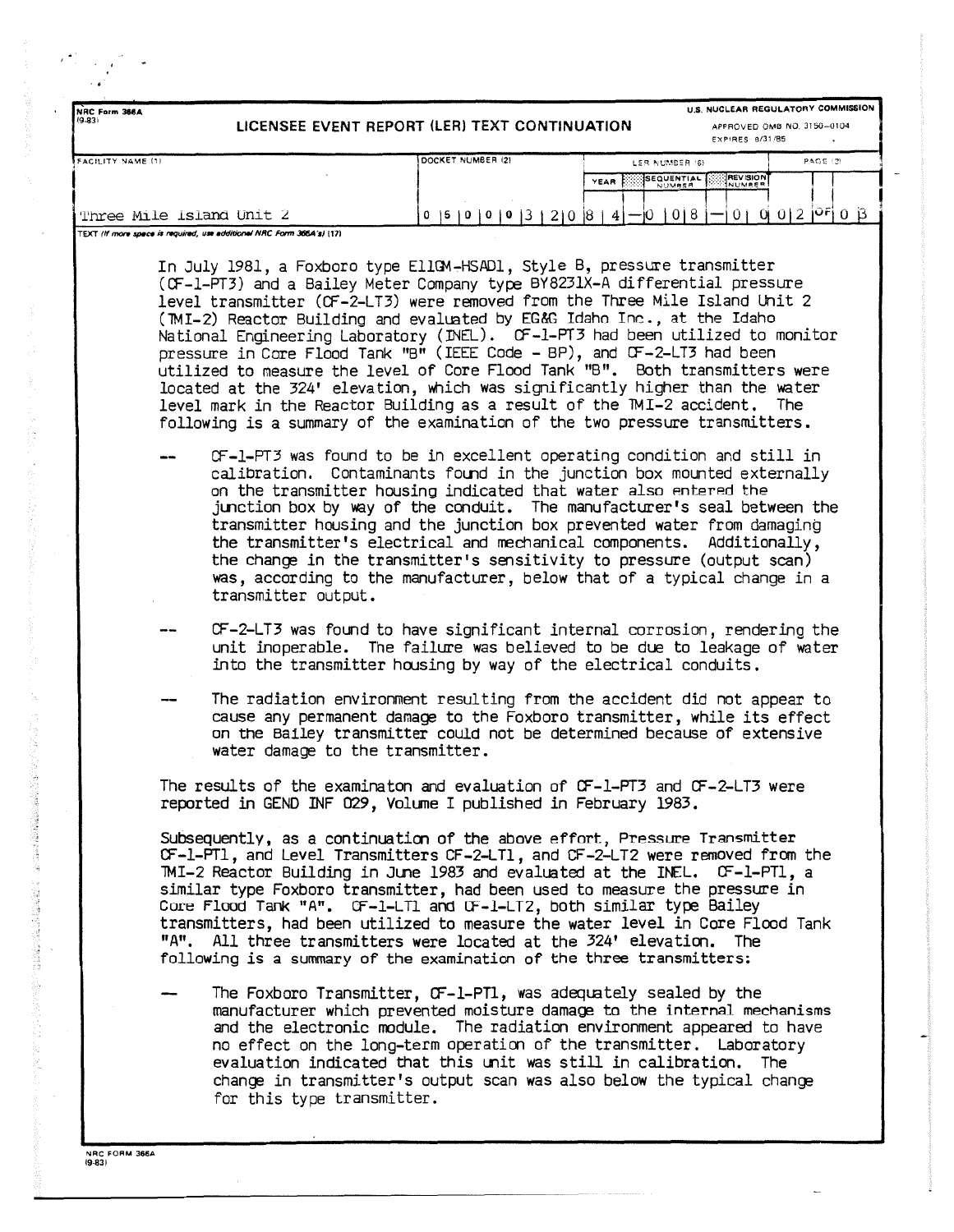| NRC Form 366A                                                                                     | U.S. NUCLEAR REGULATORY COMMISSION                                                                                                                                                                                                                                                                                                                                                                                                                                                                                                                                                                                                                                                                                                                                                                                                                                                                                                                                                                                                                                                                                                                                                                                                                                                                                                                                                                                |
|---------------------------------------------------------------------------------------------------|-------------------------------------------------------------------------------------------------------------------------------------------------------------------------------------------------------------------------------------------------------------------------------------------------------------------------------------------------------------------------------------------------------------------------------------------------------------------------------------------------------------------------------------------------------------------------------------------------------------------------------------------------------------------------------------------------------------------------------------------------------------------------------------------------------------------------------------------------------------------------------------------------------------------------------------------------------------------------------------------------------------------------------------------------------------------------------------------------------------------------------------------------------------------------------------------------------------------------------------------------------------------------------------------------------------------------------------------------------------------------------------------------------------------|
| $(9-83)$                                                                                          | LICENSEE EVENT REPORT (LER) TEXT CONTINUATION<br>APPROVED OMB NO, 3150-0104<br><b>EXPIRES 8/31/85</b>                                                                                                                                                                                                                                                                                                                                                                                                                                                                                                                                                                                                                                                                                                                                                                                                                                                                                                                                                                                                                                                                                                                                                                                                                                                                                                             |
| FACILITY NAME (1)                                                                                 | DOCKET NUMBER (2)<br><b>PAGE (2)</b><br>LES NUMBER (6)                                                                                                                                                                                                                                                                                                                                                                                                                                                                                                                                                                                                                                                                                                                                                                                                                                                                                                                                                                                                                                                                                                                                                                                                                                                                                                                                                            |
|                                                                                                   | SEQUENTIAL<br><b>REVISION</b><br>YEAR<br><b>NUMBER</b>                                                                                                                                                                                                                                                                                                                                                                                                                                                                                                                                                                                                                                                                                                                                                                                                                                                                                                                                                                                                                                                                                                                                                                                                                                                                                                                                                            |
|                                                                                                   |                                                                                                                                                                                                                                                                                                                                                                                                                                                                                                                                                                                                                                                                                                                                                                                                                                                                                                                                                                                                                                                                                                                                                                                                                                                                                                                                                                                                                   |
| Three Mile Island Unit 2<br>TEXT /ff more space is required, use additional NRC Form 366A's) (17) | $0 \mid 5 \mid 0 \mid 0 \mid 0 \mid 3 \mid 2 \mid 0 \mid 8 \mid 4 \mid - \mid 0 \mid 0 \mid 8 \mid -$<br>$0+0 0 2 0F 0 3$                                                                                                                                                                                                                                                                                                                                                                                                                                                                                                                                                                                                                                                                                                                                                                                                                                                                                                                                                                                                                                                                                                                                                                                                                                                                                         |
| transmitter output.                                                                               | In July 1981, a Foxboro type EllGM-HSAD1, Style B, pressure transmitter<br>(CF-1-PT3) and a Bailey Meter Company type BY8231X-A differential pressure<br>level transmitter (CF-2-LT3) were removed from the Three Mile Island Unit 2<br>(TMI-2) Reactor Building and evaluated by EG&G Idaho Inc., at the Idaho<br>National Engineering Laboratory (INEL). OF-1-PT3 had been utilized to monitor<br>pressure in Core Flood Tank "B" (IEEE Code - BP), and CF-2-LT3 had been<br>utilized to measure the level of Core Flood Tank "B". Both transmitters were<br>located at the 324' elevation, which was significantly higher than the water<br>level mark in the Reactor Building as a result of the TMI-2 accident. The<br>following is a summary of the examination of the two pressure transmitters.<br>CF-1-PT3 was found to be in excellent operating condition and still in<br>calibration. Contaminants found in the junction box mounted externally<br>on the transmitter housing indicated that water also entered the<br>junction box by way of the conduit. The manufacturer's seal between the<br>transmitter housing and the junction box prevented water from damaging<br>the transmitter's electrical and mechanical components. Additionally,<br>the change in the transmitter's sensitivity to pressure (output scan)<br>was, according to the manufacturer, below that of a typical change in a |
| water damage to the transmitter.                                                                  | CF-2-LT3 was found to have significant internal corrosion, rendering the<br>unit inoperable. The failure was believed to be due to leakage of water<br>into the transmitter housing by way of the electrical conduits.<br>The radiation environment resulting from the accident did not appear to<br>cause any permanent damage to the Foxboro transmitter, while its effect<br>on the Bailey transmitter could not be determined because of extensive                                                                                                                                                                                                                                                                                                                                                                                                                                                                                                                                                                                                                                                                                                                                                                                                                                                                                                                                                            |
|                                                                                                   | The results of the examinaton and evaluation of CF-1-PT3 and CF-2-LT3 were<br>reported in GEND INF 029, Volume I published in February 1983.                                                                                                                                                                                                                                                                                                                                                                                                                                                                                                                                                                                                                                                                                                                                                                                                                                                                                                                                                                                                                                                                                                                                                                                                                                                                      |
|                                                                                                   | Subsequently, as a continuation of the above effort, Pressure Transmitter<br>OF-1-PT1, and Level Transmitters CF-2-LT1, and CF-2-LT2 were removed from the<br>TMI-2 Reactor Building in June 1983 and evaluated at the INEL. CF-1-PT1, a<br>similar type Foxboro transmitter, had been used to measure the pressure in<br>Core Flood Tank "A". CF-1-LT1 and CF-1-LT2, both similar type Bailey<br>transmitters, had been utilized to measure the water level in Core Flood Tank<br>"A". All three transmitters were located at the 324' elevation. The<br>following is a summary of the examination of the three transmitters:                                                                                                                                                                                                                                                                                                                                                                                                                                                                                                                                                                                                                                                                                                                                                                                    |
| for this type transmitter.                                                                        | The Foxboro Transmitter, CF-1-PT1, was adequately sealed by the<br>manufacturer which prevented moisture damage to the internal mechanisms<br>and the electronic module. The radiation environment appeared to have<br>no effect on the long-term operation of the transmitter. Laboratory<br>evaluation indicated that this unit was still in calibration. The<br>change in transmitter's output scan was also below the typical change                                                                                                                                                                                                                                                                                                                                                                                                                                                                                                                                                                                                                                                                                                                                                                                                                                                                                                                                                                          |

NRC FORM 366A 19-831

1999年1月,1999年1月1日,1999年1月1日,1999年1月,1999年1月,1999年1月,1999年1月,1999年1月,1999年1月,1999年1月,1999年1月,1999年1月,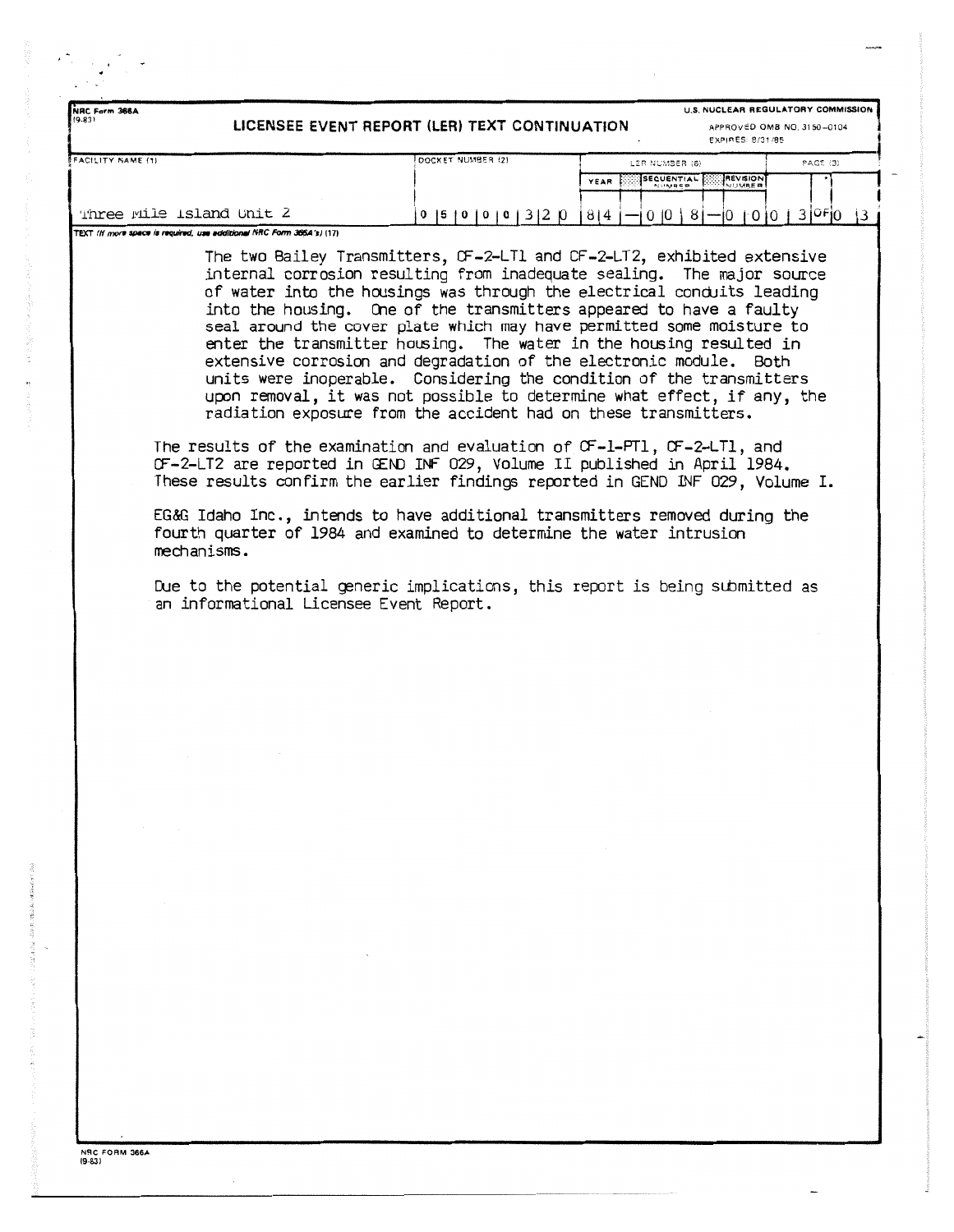| NRC Form 366A<br>(9.83)                                                                                                                                                                                                                                                                                                                                                                                                                                                                                                                                                                                     | LICENSEE EVENT REPORT (LER) TEXT CONTINUATION | U.S. NUCLEAR REGULATORY COMMISSION<br>APPROVED OMB NO. 3150-0104                                                                                                                                                                                                                                                                                                                                                                                                                                                                                                                                                                                                            |                 |
|-------------------------------------------------------------------------------------------------------------------------------------------------------------------------------------------------------------------------------------------------------------------------------------------------------------------------------------------------------------------------------------------------------------------------------------------------------------------------------------------------------------------------------------------------------------------------------------------------------------|-----------------------------------------------|-----------------------------------------------------------------------------------------------------------------------------------------------------------------------------------------------------------------------------------------------------------------------------------------------------------------------------------------------------------------------------------------------------------------------------------------------------------------------------------------------------------------------------------------------------------------------------------------------------------------------------------------------------------------------------|-----------------|
|                                                                                                                                                                                                                                                                                                                                                                                                                                                                                                                                                                                                             |                                               | EXPIRES: 8/31/85                                                                                                                                                                                                                                                                                                                                                                                                                                                                                                                                                                                                                                                            |                 |
| FACILITY NAME (1)                                                                                                                                                                                                                                                                                                                                                                                                                                                                                                                                                                                           | DOCKET NUMBER (2)                             | LER NUMBER (6)<br><b>SEQUENTIAL</b>                                                                                                                                                                                                                                                                                                                                                                                                                                                                                                                                                                                                                                         | <b>PAGE (3)</b> |
|                                                                                                                                                                                                                                                                                                                                                                                                                                                                                                                                                                                                             |                                               | NUMBER<br>YEAR<br><b>NIIMRED</b>                                                                                                                                                                                                                                                                                                                                                                                                                                                                                                                                                                                                                                            |                 |
| Three Mile Island Unit 2                                                                                                                                                                                                                                                                                                                                                                                                                                                                                                                                                                                    |                                               | 0   5   0   0   0   3   2   0   8   4   -   0   0   8   -   0   0   0   3   0 F  0                                                                                                                                                                                                                                                                                                                                                                                                                                                                                                                                                                                          | $\vert$ 3       |
| TEXT (If more space is required, use additional NRC Form 366A's) (17)                                                                                                                                                                                                                                                                                                                                                                                                                                                                                                                                       |                                               |                                                                                                                                                                                                                                                                                                                                                                                                                                                                                                                                                                                                                                                                             |                 |
| radiation exposure from the accident had on these transmitters.<br>The results of the examination and evaluation of OF-1-PT1, OF-2-LT1, and<br>CF-2-LT2 are reported in GEND INF 029, Volume II published in April 1984.<br>These results confirm the earlier findings reported in GEND INF 029, Volume I.<br>EG&G Idaho Inc., intends to have additional transmitters removed during the<br>fourth quarter of 1984 and examined to determine the water intrusion<br>mechanisms.<br>Due to the potential generic implications, this report is being submitted as<br>an informational Licensee Event Report. |                                               | The two Bailey Transmitters, CF-2-LT1 and CF-2-LT2, exhibited extensive<br>internal corrosion resulting from inadequate sealing. The major source<br>of water into the housings was through the electrical conduits leading<br>into the housing. One of the transmitters appeared to have a faulty<br>seal around the cover plate which may have permitted some moisture to<br>enter the transmitter housing. The water in the housing resulted in<br>extensive corrosion and degradation of the electronic module. Both<br>units were inoperable. Considering the condition of the transmitters<br>upon removal, it was not possible to determine what effect, if any, the |                 |
| $\sim$                                                                                                                                                                                                                                                                                                                                                                                                                                                                                                                                                                                                      |                                               |                                                                                                                                                                                                                                                                                                                                                                                                                                                                                                                                                                                                                                                                             |                 |
|                                                                                                                                                                                                                                                                                                                                                                                                                                                                                                                                                                                                             |                                               |                                                                                                                                                                                                                                                                                                                                                                                                                                                                                                                                                                                                                                                                             |                 |
|                                                                                                                                                                                                                                                                                                                                                                                                                                                                                                                                                                                                             |                                               |                                                                                                                                                                                                                                                                                                                                                                                                                                                                                                                                                                                                                                                                             |                 |
|                                                                                                                                                                                                                                                                                                                                                                                                                                                                                                                                                                                                             |                                               | $\sim$                                                                                                                                                                                                                                                                                                                                                                                                                                                                                                                                                                                                                                                                      |                 |
|                                                                                                                                                                                                                                                                                                                                                                                                                                                                                                                                                                                                             |                                               |                                                                                                                                                                                                                                                                                                                                                                                                                                                                                                                                                                                                                                                                             |                 |
|                                                                                                                                                                                                                                                                                                                                                                                                                                                                                                                                                                                                             |                                               |                                                                                                                                                                                                                                                                                                                                                                                                                                                                                                                                                                                                                                                                             |                 |
|                                                                                                                                                                                                                                                                                                                                                                                                                                                                                                                                                                                                             |                                               |                                                                                                                                                                                                                                                                                                                                                                                                                                                                                                                                                                                                                                                                             |                 |
|                                                                                                                                                                                                                                                                                                                                                                                                                                                                                                                                                                                                             |                                               |                                                                                                                                                                                                                                                                                                                                                                                                                                                                                                                                                                                                                                                                             |                 |
|                                                                                                                                                                                                                                                                                                                                                                                                                                                                                                                                                                                                             |                                               |                                                                                                                                                                                                                                                                                                                                                                                                                                                                                                                                                                                                                                                                             |                 |
|                                                                                                                                                                                                                                                                                                                                                                                                                                                                                                                                                                                                             |                                               |                                                                                                                                                                                                                                                                                                                                                                                                                                                                                                                                                                                                                                                                             |                 |
|                                                                                                                                                                                                                                                                                                                                                                                                                                                                                                                                                                                                             |                                               |                                                                                                                                                                                                                                                                                                                                                                                                                                                                                                                                                                                                                                                                             |                 |
|                                                                                                                                                                                                                                                                                                                                                                                                                                                                                                                                                                                                             |                                               |                                                                                                                                                                                                                                                                                                                                                                                                                                                                                                                                                                                                                                                                             |                 |
|                                                                                                                                                                                                                                                                                                                                                                                                                                                                                                                                                                                                             |                                               |                                                                                                                                                                                                                                                                                                                                                                                                                                                                                                                                                                                                                                                                             |                 |
|                                                                                                                                                                                                                                                                                                                                                                                                                                                                                                                                                                                                             |                                               |                                                                                                                                                                                                                                                                                                                                                                                                                                                                                                                                                                                                                                                                             |                 |
|                                                                                                                                                                                                                                                                                                                                                                                                                                                                                                                                                                                                             |                                               |                                                                                                                                                                                                                                                                                                                                                                                                                                                                                                                                                                                                                                                                             |                 |